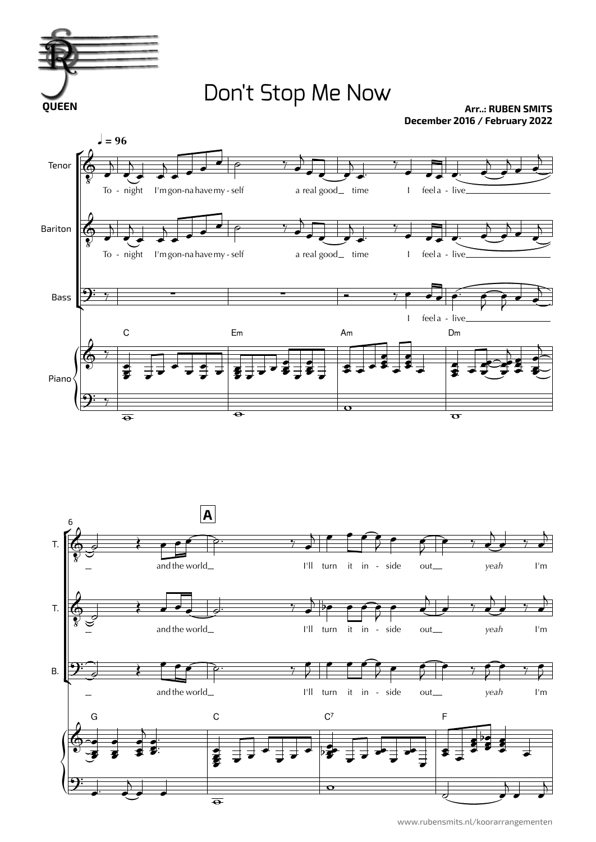

## Don't Stop Me Now

**Arr..: RUBEN SMITS December 2016 / February 2022**



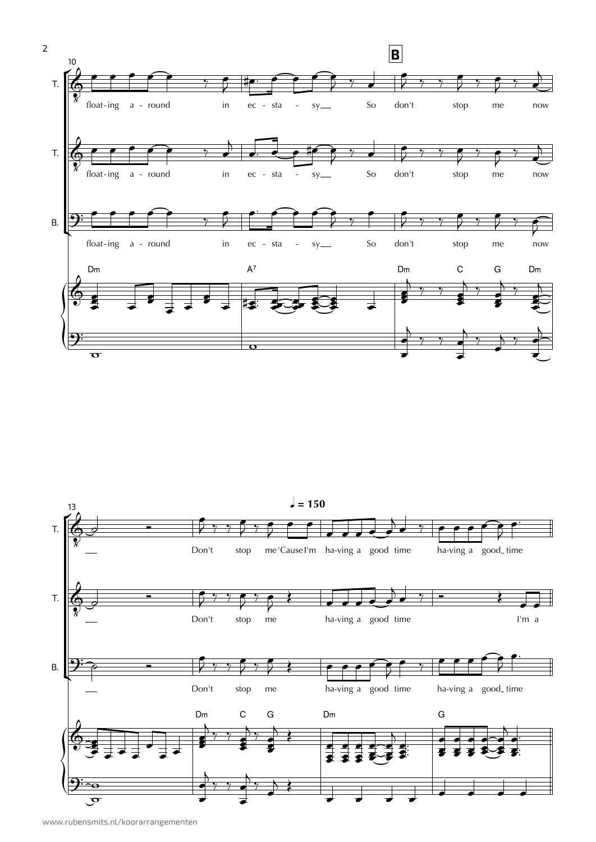



www.rubensmits.nl/koorarrangementen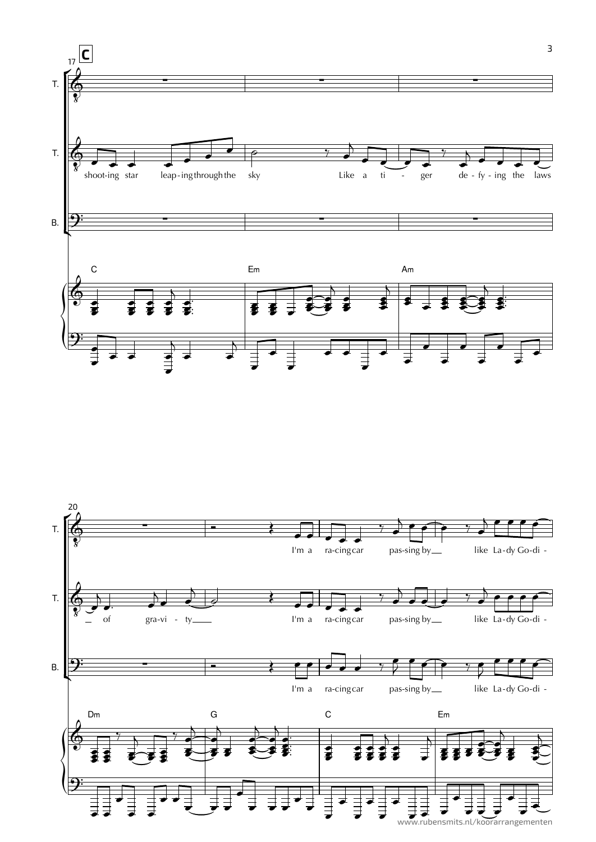

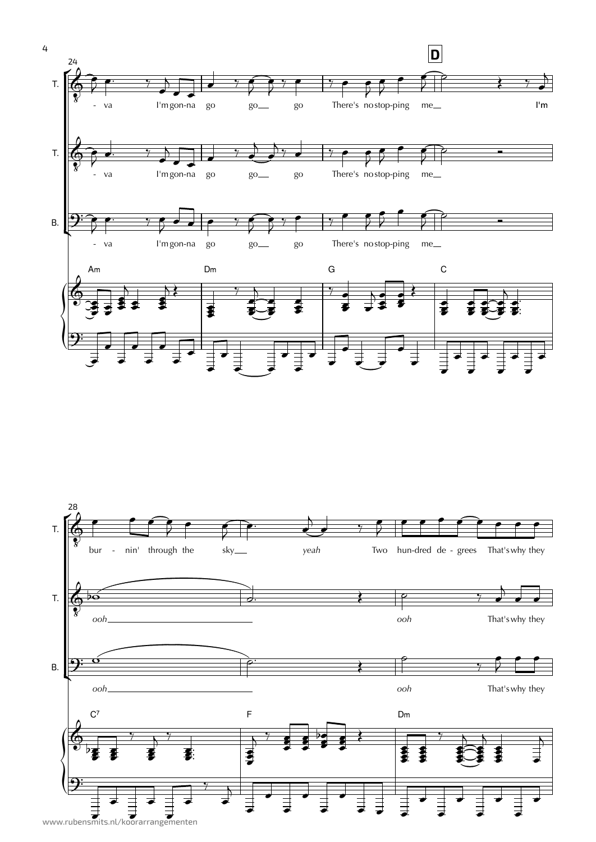